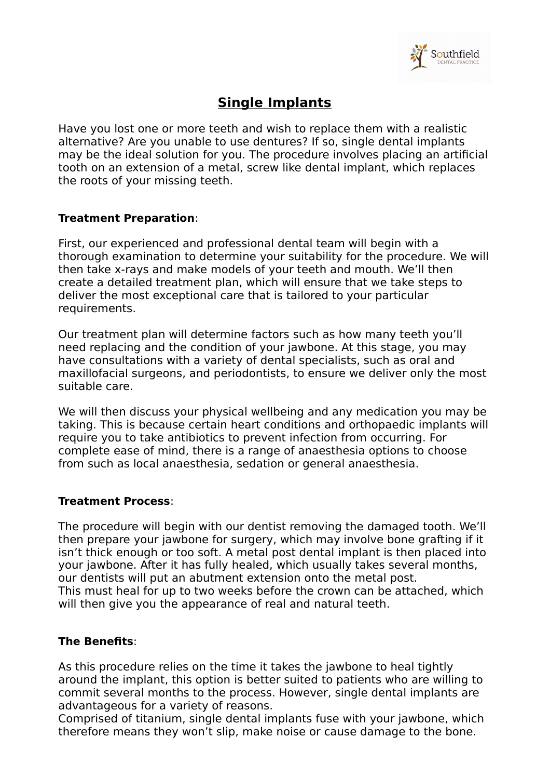

## **Single Implants**

Have you lost one or more teeth and wish to replace them with a realistic alternative? Are you unable to use dentures? If so, single dental implants may be the ideal solution for you. The procedure involves placing an artificial tooth on an extension of a metal, screw like dental implant, which replaces the roots of your missing teeth.

## **Treatment Preparation**:

First, our experienced and professional dental team will begin with a thorough examination to determine your suitability for the procedure. We will then take x-rays and make models of your teeth and mouth. We'll then create a detailed treatment plan, which will ensure that we take steps to deliver the most exceptional care that is tailored to your particular requirements.

Our treatment plan will determine factors such as how many teeth you'll need replacing and the condition of your jawbone. At this stage, you may have consultations with a variety of dental specialists, such as oral and maxillofacial surgeons, and periodontists, to ensure we deliver only the most suitable care.

We will then discuss your physical wellbeing and any medication you may be taking. This is because certain heart conditions and orthopaedic implants will require you to take antibiotics to prevent infection from occurring. For complete ease of mind, there is a range of anaesthesia options to choose from such as local anaesthesia, sedation or general anaesthesia.

## **Treatment Process**:

The procedure will begin with our dentist removing the damaged tooth. We'll then prepare your jawbone for surgery, which may involve bone grafting if it isn't thick enough or too soft. A metal post dental implant is then placed into your jawbone. After it has fully healed, which usually takes several months, our dentists will put an abutment extension onto the metal post. This must heal for up to two weeks before the crown can be attached, which will then give you the appearance of real and natural teeth.

## **The Benefits**:

As this procedure relies on the time it takes the jawbone to heal tightly around the implant, this option is better suited to patients who are willing to commit several months to the process. However, single dental implants are advantageous for a variety of reasons.

Comprised of titanium, single dental implants fuse with your jawbone, which therefore means they won't slip, make noise or cause damage to the bone.